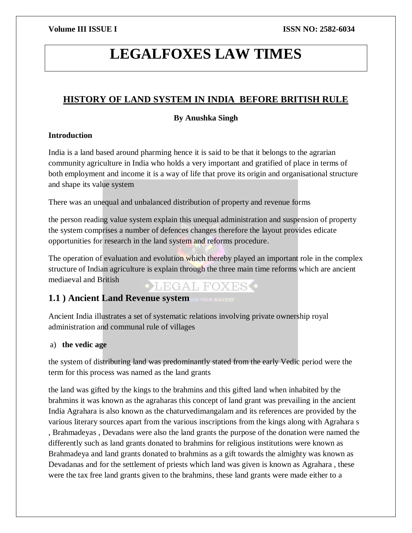# **LEGALFOXES LAW TIMES**

# **HISTORY OF LAND SYSTEM IN INDIA BEFORE BRITISH RULE**

### **By Anushka Singh**

### **Introduction**

India is a land based around pharming hence it is said to be that it belongs to the agrarian community agriculture in India who holds a very important and gratified of place in terms of both employment and income it is a way of life that prove its origin and organisational structure and shape its value system

There was an unequal and unbalanced distribution of property and revenue forms

the person reading value system explain this unequal administration and suspension of property the system comprises a number of defences changes therefore the layout provides edicate opportunities for research in the land system and reforms procedure.

The operation of evaluation and evolution which thereby played an important role in the complex structure of Indian agriculture is explain through the three main time reforms which are ancient mediaeval and British **•LEGAL FOXES.** 

## **1.1** ) Ancient Land Revenue system for your success:

Ancient India illustrates a set of systematic relations involving private ownership royal administration and communal rule of villages

### a) **the vedic age**

the system of distributing land was predominantly stated from the early Vedic period were the term for this process was named as the land grants

the land was gifted by the kings to the brahmins and this gifted land when inhabited by the brahmins it was known as the agraharas this concept of land grant was prevailing in the ancient India Agrahara is also known as the chaturvedimangalam and its references are provided by the various literary sources apart from the various inscriptions from the kings along with Agrahara s , Brahmadeyas , Devadans were also the land grants the purpose of the donation were named the differently such as land grants donated to brahmins for religious institutions were known as Brahmadeya and land grants donated to brahmins as a gift towards the almighty was known as Devadanas and for the settlement of priests which land was given is known as Agrahara , these were the tax free land grants given to the brahmins, these land grants were made either to a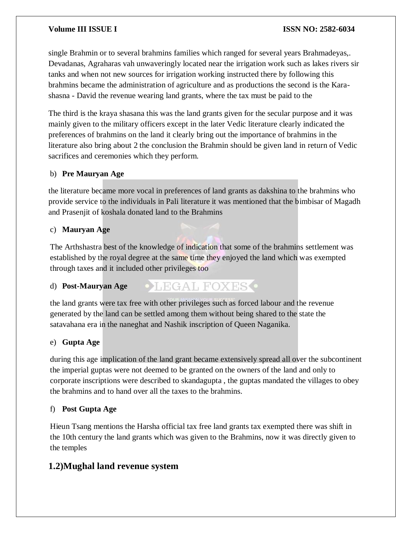single Brahmin or to several brahmins families which ranged for several years Brahmadeyas,. Devadanas, Agraharas vah unwaveringly located near the irrigation work such as lakes rivers sir tanks and when not new sources for irrigation working instructed there by following this brahmins became the administration of agriculture and as productions the second is the Karashasna - David the revenue wearing land grants, where the tax must be paid to the

The third is the kraya shasana this was the land grants given for the secular purpose and it was mainly given to the military officers except in the later Vedic literature clearly indicated the preferences of brahmins on the land it clearly bring out the importance of brahmins in the literature also bring about 2 the conclusion the Brahmin should be given land in return of Vedic sacrifices and ceremonies which they perform.

#### b) **Pre Mauryan Age**

the literature became more vocal in preferences of land grants as dakshina to the brahmins who provide service to the individuals in Pali literature it was mentioned that the bimbisar of Magadh and Prasenjit of koshala donated land to the Brahmins

#### c) **Mauryan Age**

The Arthshastra best of the knowledge of indication that some of the brahmins settlement was established by the royal degree at the same time they enjoyed the land which was exempted through taxes and it included other privileges too

**OLEGAL FOXES** 

#### d) **Post-Mauryan Age**

the land grants were tax free with other privileges such as forced labour and the revenue generated by the land can be settled among them without being shared to the state the satavahana era in the naneghat and Nashik inscription of Queen Naganika.

#### e) **Gupta Age**

during this age implication of the land grant became extensively spread all over the subcontinent the imperial guptas were not deemed to be granted on the owners of the land and only to corporate inscriptions were described to skandagupta , the guptas mandated the villages to obey the brahmins and to hand over all the taxes to the brahmins.

#### f) **Post Gupta Age**

Hieun Tsang mentions the Harsha official tax free land grants tax exempted there was shift in the 10th century the land grants which was given to the Brahmins, now it was directly given to the temples

### **1.2)Mughal land revenue system**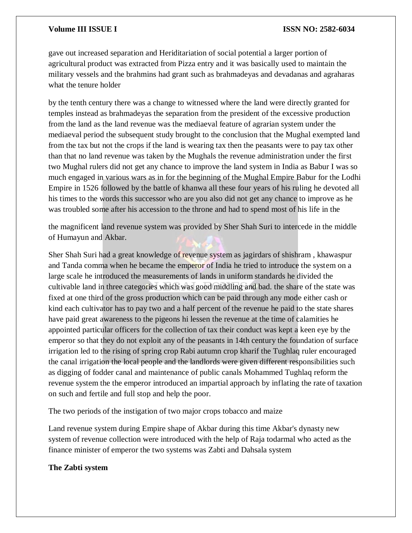gave out increased separation and Heriditariation of social potential a larger portion of agricultural product was extracted from Pizza entry and it was basically used to maintain the military vessels and the brahmins had grant such as brahmadeyas and devadanas and agraharas what the tenure holder

by the tenth century there was a change to witnessed where the land were directly granted for temples instead as brahmadeyas the separation from the president of the excessive production from the land as the land revenue was the mediaeval feature of agrarian system under the mediaeval period the subsequent study brought to the conclusion that the Mughal exempted land from the tax but not the crops if the land is wearing tax then the peasants were to pay tax other than that no land revenue was taken by the Mughals the revenue administration under the first two Mughal rulers did not get any chance to improve the land system in India as Babur I was so much engaged in various wars as in for the beginning of the Mughal Empire Babur for the Lodhi Empire in 1526 followed by the battle of khanwa all these four years of his ruling he devoted all his times to the words this successor who are you also did not get any chance to improve as he was troubled some after his accession to the throne and had to spend most of his life in the

the magnificent land revenue system was provided by Sher Shah Suri to intercede in the middle of Humayun and Akbar.

Sher Shah Suri had a great knowledge of revenue system as jagirdars of shishram , khawaspur and Tanda comma when he became the emperor of India he tried to introduce the system on a large scale he introduced the measurements of lands in uniform standards he divided the cultivable land in three categories which was good middling and bad. the share of the state was fixed at one third of the gross production which can be paid through any mode either cash or kind each cultivator has to pay two and a half percent of the revenue he paid to the state shares have paid great awareness to the pigeons hi lessen the revenue at the time of calamities he appointed particular officers for the collection of tax their conduct was kept a keen eye by the emperor so that they do not exploit any of the peasants in 14th century the foundation of surface irrigation led to the rising of spring crop Rabi autumn crop kharif the Tughlaq ruler encouraged the canal irrigation the local people and the landlords were given different responsibilities such as digging of fodder canal and maintenance of public canals Mohammed Tughlaq reform the revenue system the the emperor introduced an impartial approach by inflating the rate of taxation on such and fertile and full stop and help the poor.

The two periods of the instigation of two major crops tobacco and maize

Land revenue system during Empire shape of Akbar during this time Akbar's dynasty new system of revenue collection were introduced with the help of Raja todarmal who acted as the finance minister of emperor the two systems was Zabti and Dahsala system

#### **The Zabti system**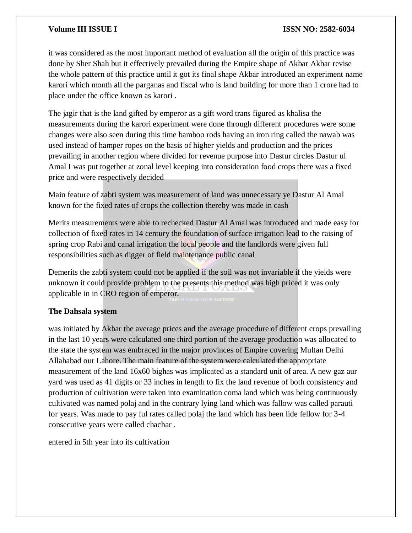it was considered as the most important method of evaluation all the origin of this practice was done by Sher Shah but it effectively prevailed during the Empire shape of Akbar Akbar revise the whole pattern of this practice until it got its final shape Akbar introduced an experiment name karori which month all the parganas and fiscal who is land building for more than 1 crore had to place under the office known as karori .

The jagir that is the land gifted by emperor as a gift word trans figured as khalisa the measurements during the karori experiment were done through different procedures were some changes were also seen during this time bamboo rods having an iron ring called the nawab was used instead of hamper ropes on the basis of higher yields and production and the prices prevailing in another region where divided for revenue purpose into Dastur circles Dastur ul Amal I was put together at zonal level keeping into consideration food crops there was a fixed price and were respectively decided

Main feature of zabti system was measurement of land was unnecessary ye Dastur Al Amal known for the fixed rates of crops the collection thereby was made in cash

Merits measurements were able to rechecked Dastur Al Amal was introduced and made easy for collection of fixed rates in 14 century the foundation of surface irrigation lead to the raising of spring crop Rabi and canal irrigation the local people and the landlords were given full responsibilities such as digger of field maintenance public canal

Demerits the zabti system could not be applied if the soil was not invariable if the yields were unknown it could provide problem to the presents this method was high priced it was only applicable in in CRO region of emperor.

#### **The Dahsala system**

was initiated by Akbar the average prices and the average procedure of different crops prevailing in the last 10 years were calculated one third portion of the average production was allocated to the state the system was embraced in the major provinces of Empire covering Multan Delhi Allahabad our Lahore. The main feature of the system were calculated the appropriate measurement of the land 16x60 bighas was implicated as a standard unit of area. A new gaz aur yard was used as 41 digits or 33 inches in length to fix the land revenue of both consistency and production of cultivation were taken into examination coma land which was being continuously cultivated was named polaj and in the contrary lying land which was fallow was called parauti for years. Was made to pay ful rates called polaj the land which has been lide fellow for 3-4 consecutive years were called chachar .

entered in 5th year into its cultivation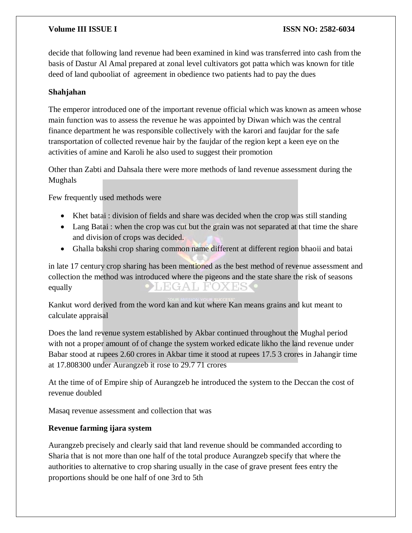decide that following land revenue had been examined in kind was transferred into cash from the basis of Dastur Al Amal prepared at zonal level cultivators got patta which was known for title deed of land qubooliat of agreement in obedience two patients had to pay the dues

#### **Shahjahan**

The emperor introduced one of the important revenue official which was known as ameen whose main function was to assess the revenue he was appointed by Diwan which was the central finance department he was responsible collectively with the karori and faujdar for the safe transportation of collected revenue hair by the faujdar of the region kept a keen eye on the activities of amine and Karoli he also used to suggest their promotion

Other than Zabti and Dahsala there were more methods of land revenue assessment during the Mughals

Few frequently used methods were

- Khet batai : division of fields and share was decided when the crop was still standing
- Lang Batai : when the crop was cut but the grain was not separated at that time the share and division of crops was decided.
- Ghalla bakshi crop sharing common name different at different region bhaoii and batai

in late 17 century crop sharing has been mentioned as the best method of revenue assessment and collection the method was introduced where the pigeons and the state share the risk of seasons  $H/GA$  $\mathbb{L}$ H.C equally

Kankut word derived from the word kan and kut where Kan means grains and kut meant to calculate appraisal

Does the land revenue system established by Akbar continued throughout the Mughal period with not a proper amount of of change the system worked edicate likho the land revenue under Babar stood at rupees 2.60 crores in Akbar time it stood at rupees 17.5 3 crores in Jahangir time at 17.808300 under Aurangzeb it rose to 29.7 71 crores

At the time of of Empire ship of Aurangzeb he introduced the system to the Deccan the cost of revenue doubled

Masaq revenue assessment and collection that was

#### **Revenue farming ijara system**

Aurangzeb precisely and clearly said that land revenue should be commanded according to Sharia that is not more than one half of the total produce Aurangzeb specify that where the authorities to alternative to crop sharing usually in the case of grave present fees entry the proportions should be one half of one 3rd to 5th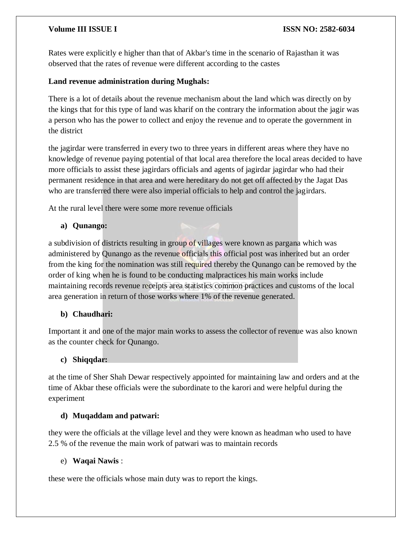Rates were explicitly e higher than that of Akbar's time in the scenario of Rajasthan it was observed that the rates of revenue were different according to the castes

#### **Land revenue administration during Mughals:**

There is a lot of details about the revenue mechanism about the land which was directly on by the kings that for this type of land was kharif on the contrary the information about the jagir was a person who has the power to collect and enjoy the revenue and to operate the government in the district

the jagirdar were transferred in every two to three years in different areas where they have no knowledge of revenue paying potential of that local area therefore the local areas decided to have more officials to assist these jagirdars officials and agents of jagirdar jagirdar who had their permanent residence in that area and were hereditary do not get off affected by the Jagat Das who are transferred there were also imperial officials to help and control the jagirdars.

At the rural level there were some more revenue officials

### **a) Qunango:**

a subdivision of districts resulting in group of villages were known as pargana which was administered by Qunango as the revenue officials this official post was inherited but an order from the king for the nomination was still required thereby the Qunango can be removed by the order of king when he is found to be conducting malpractices his main works include maintaining records revenue receipts area statistics common practices and customs of the local area generation in return of those works where 1% of the revenue generated.

### **b) Chaudhari:**

Important it and one of the major main works to assess the collector of revenue was also known as the counter check for Qunango.

#### **c) Shiqqdar:**

at the time of Sher Shah Dewar respectively appointed for maintaining law and orders and at the time of Akbar these officials were the subordinate to the karori and were helpful during the experiment

#### **d) Muqaddam and patwari:**

they were the officials at the village level and they were known as headman who used to have 2.5 % of the revenue the main work of patwari was to maintain records

#### e) **Waqai Nawis** :

these were the officials whose main duty was to report the kings.